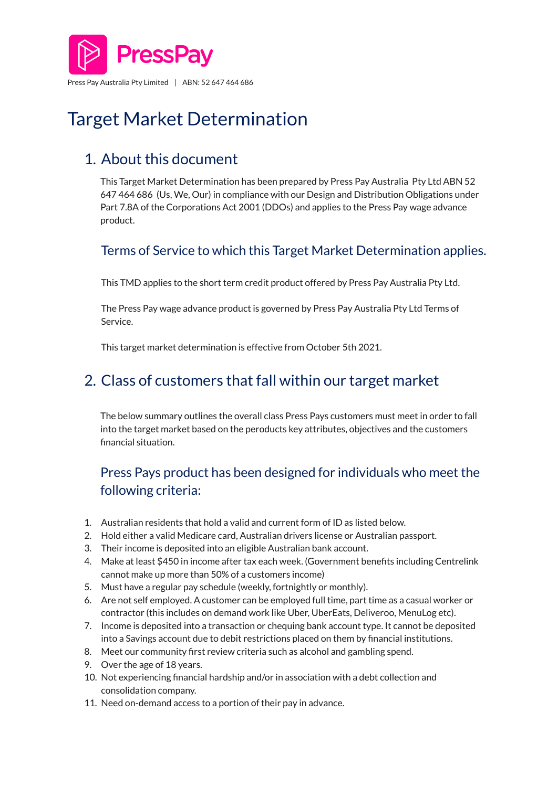

# Target Market Determination

# 1. About this document

This Target Market Determination has been prepared by Press Pay Australia Pty Ltd ABN 52 647 464 686 (Us, We, Our) in compliance with our Design and Distribution Obligations under Part 7.8A of the Corporations Act 2001 (DDOs) and applies to the Press Pay wage advance product.

#### Terms of Service to which this Target Market Determination applies.

This TMD applies to the short term credit product offered by Press Pay Australia Pty Ltd.

The Press Pay wage advance product is governed by Press Pay Australia Pty Ltd Terms of Service.

This target market determination is effective from October 5th 2021.

# 2. Class of customers that fall within our target market

The below summary outlines the overall class Press Pays customers must meet in order to fall into the target market based on the peroducts key attributes, objectives and the customers financial situation.

### Press Pays product has been designed for individuals who meet the following criteria:

- 1. Australian residents that hold a valid and current form of ID as listed below.
- 2. Hold either a valid Medicare card, Australian drivers license or Australian passport.
- 3. Their income is deposited into an eligible Australian bank account.
- 4. Make at least \$450 in income after tax each week. (Government benefits including Centrelink cannot make up more than 50% of a customers income)
- 5. Must have a regular pay schedule (weekly, fortnightly or monthly).
- 6. Are not self employed. A customer can be employed full time, part time as a casual worker or contractor (this includes on demand work like Uber, UberEats, Deliveroo, MenuLog etc).
- 7. Income is deposited into a transaction or chequing bank account type. It cannot be deposited into a Savings account due to debit restrictions placed on them by financial institutions.
- 8. Meet our community first review criteria such as alcohol and gambling spend.
- 9. Over the age of 18 years.
- 10. Not experiencing financial hardship and/or in association with a debt collection and consolidation company.
- 11. Need on-demand access to a portion of their pay in advance.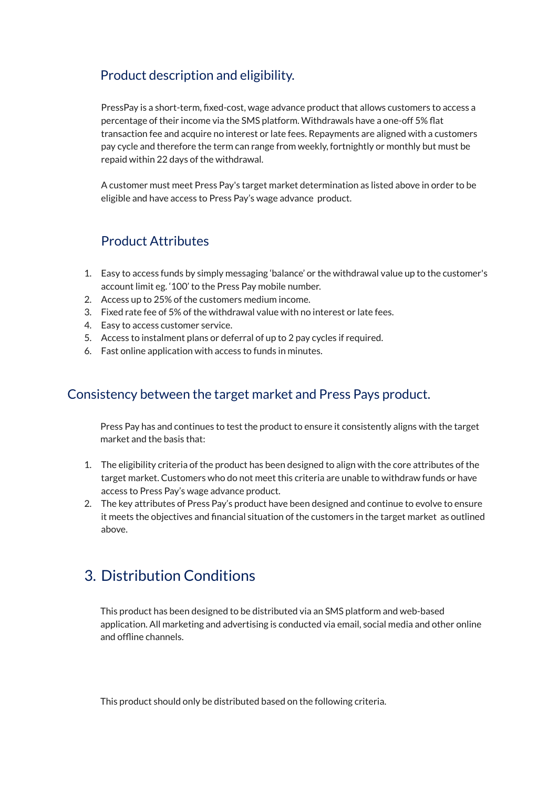#### Product description and eligibility.

PressPay is a short-term, fixed-cost, wage advance product that allows customers to access a percentage of their income via the SMS platform. Withdrawals have a one-off 5% flat transaction fee and acquire no interest or late fees. Repayments are aligned with a customers pay cycle and therefore the term can range from weekly, fortnightly or monthly but must be repaid within 22 days of the withdrawal.

A customer must meet Press Pay's target market determination as listed above in order to be eligible and have access to Press Pay's wage advance product.

#### Product Attributes

- 1. Easy to access funds by simply messaging 'balance' or the withdrawal value up to the customer's account limit eg. '100' to the Press Pay mobile number.
- 2. Access up to 25% of the customers medium income.
- 3. Fixed rate fee of 5% of the withdrawal value with no interest or late fees.
- 4. Easy to access customer service.
- 5. Access to instalment plans or deferral of up to 2 pay cycles if required.
- 6. Fast online application with access to funds in minutes.

#### Consistency between the target market and Press Pays product.

Press Pay has and continues to test the product to ensure it consistently aligns with the target market and the basis that:

- 1. The eligibility criteria of the product has been designed to align with the core attributes of the target market. Customers who do not meet this criteria are unable to withdraw funds or have access to Press Pay's wage advance product.
- 2. The key attributes of Press Pay's product have been designed and continue to evolve to ensure it meets the objectives and financial situation of the customers in the target market as outlined above.

## 3. Distribution Conditions

This product has been designed to be distributed via an SMS platform and web-based application. All marketing and advertising is conducted via email, social media and other online and offline channels.

This product should only be distributed based on the following criteria.